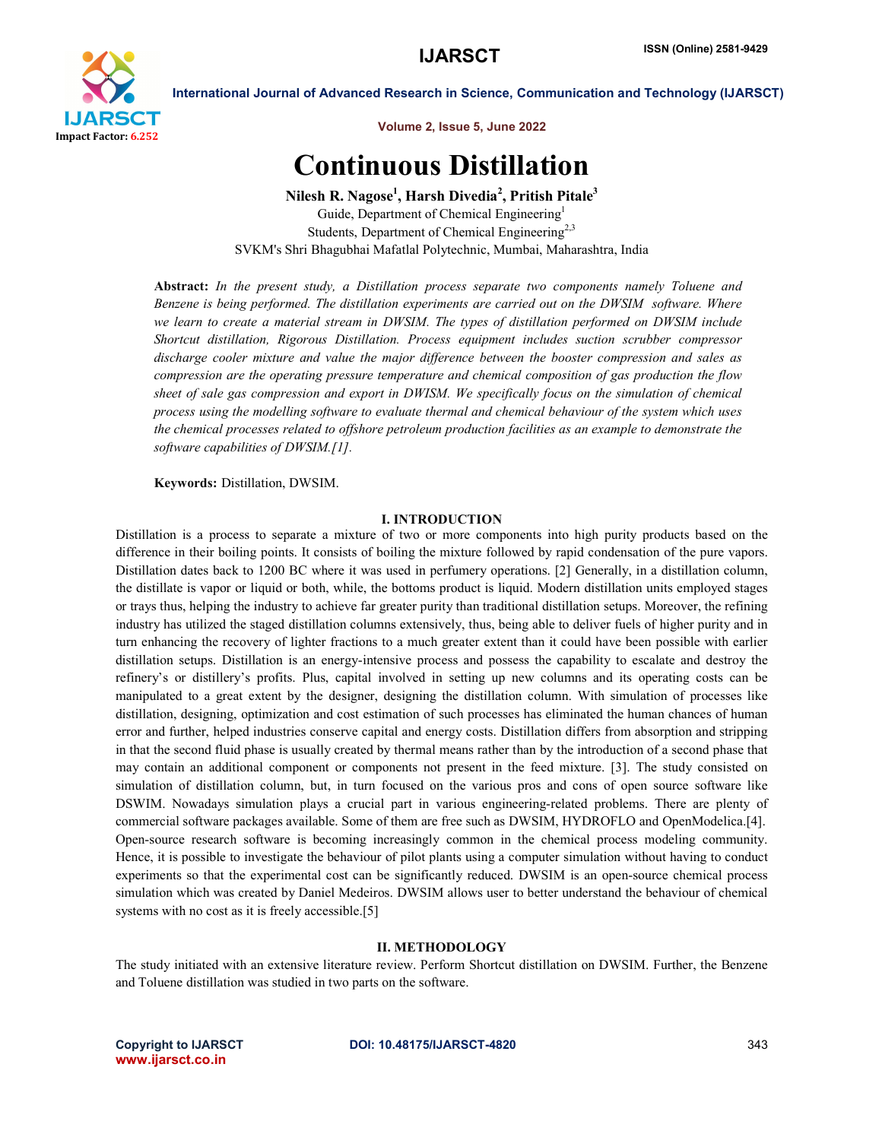

International Journal of Advanced Research in Science, Communication and Technology (IJARSCT)

Volume 2, Issue 5, June 2022

# Continuous Distillation

Nilesh R. Nagose<sup>1</sup>, Harsh Divedia<sup>2</sup>, Pritish Pitale<sup>3</sup> Guide, Department of Chemical Engineering<sup>1</sup> Students, Department of Chemical Engineering<sup>2,3</sup> SVKM's Shri Bhagubhai Mafatlal Polytechnic, Mumbai, Maharashtra, India

Abstract: *In the present study, a Distillation process separate two components namely Toluene and Benzene is being performed. The distillation experiments are carried out on the DWSIM software. Where we learn to create a material stream in DWSIM. The types of distillation performed on DWSIM include Shortcut distillation, Rigorous Distillation. Process equipment includes suction scrubber compressor discharge cooler mixture and value the major difference between the booster compression and sales as compression are the operating pressure temperature and chemical composition of gas production the flow sheet of sale gas compression and export in DWISM. We specifically focus on the simulation of chemical process using the modelling software to evaluate thermal and chemical behaviour of the system which uses the chemical processes related to offshore petroleum production facilities as an example to demonstrate the software capabilities of DWSIM.[1].*

Keywords: Distillation, DWSIM.

#### I. INTRODUCTION

Distillation is a process to separate a mixture of two or more components into high purity products based on the difference in their boiling points. It consists of boiling the mixture followed by rapid condensation of the pure vapors. Distillation dates back to 1200 BC where it was used in perfumery operations. [2] Generally, in a distillation column, the distillate is vapor or liquid or both, while, the bottoms product is liquid. Modern distillation units employed stages or trays thus, helping the industry to achieve far greater purity than traditional distillation setups. Moreover, the refining industry has utilized the staged distillation columns extensively, thus, being able to deliver fuels of higher purity and in turn enhancing the recovery of lighter fractions to a much greater extent than it could have been possible with earlier distillation setups. Distillation is an energy-intensive process and possess the capability to escalate and destroy the refinery's or distillery's profits. Plus, capital involved in setting up new columns and its operating costs can be manipulated to a great extent by the designer, designing the distillation column. With simulation of processes like distillation, designing, optimization and cost estimation of such processes has eliminated the human chances of human error and further, helped industries conserve capital and energy costs. Distillation differs from absorption and stripping in that the second fluid phase is usually created by thermal means rather than by the introduction of a second phase that may contain an additional component or components not present in the feed mixture. [3]. The study consisted on simulation of distillation column, but, in turn focused on the various pros and cons of open source software like DSWIM. Nowadays simulation plays a crucial part in various engineering-related problems. There are plenty of commercial software packages available. Some of them are free such as DWSIM, HYDROFLO and OpenModelica.[4]. Open-source research software is becoming increasingly common in the chemical process modeling community. Hence, it is possible to investigate the behaviour of pilot plants using a computer simulation without having to conduct experiments so that the experimental cost can be significantly reduced. DWSIM is an open-source chemical process simulation which was created by Daniel Medeiros. DWSIM allows user to better understand the behaviour of chemical systems with no cost as it is freely accessible.[5]

#### II. METHODOLOGY

The study initiated with an extensive literature review. Perform Shortcut distillation on DWSIM. Further, the Benzene and Toluene distillation was studied in two parts on the software.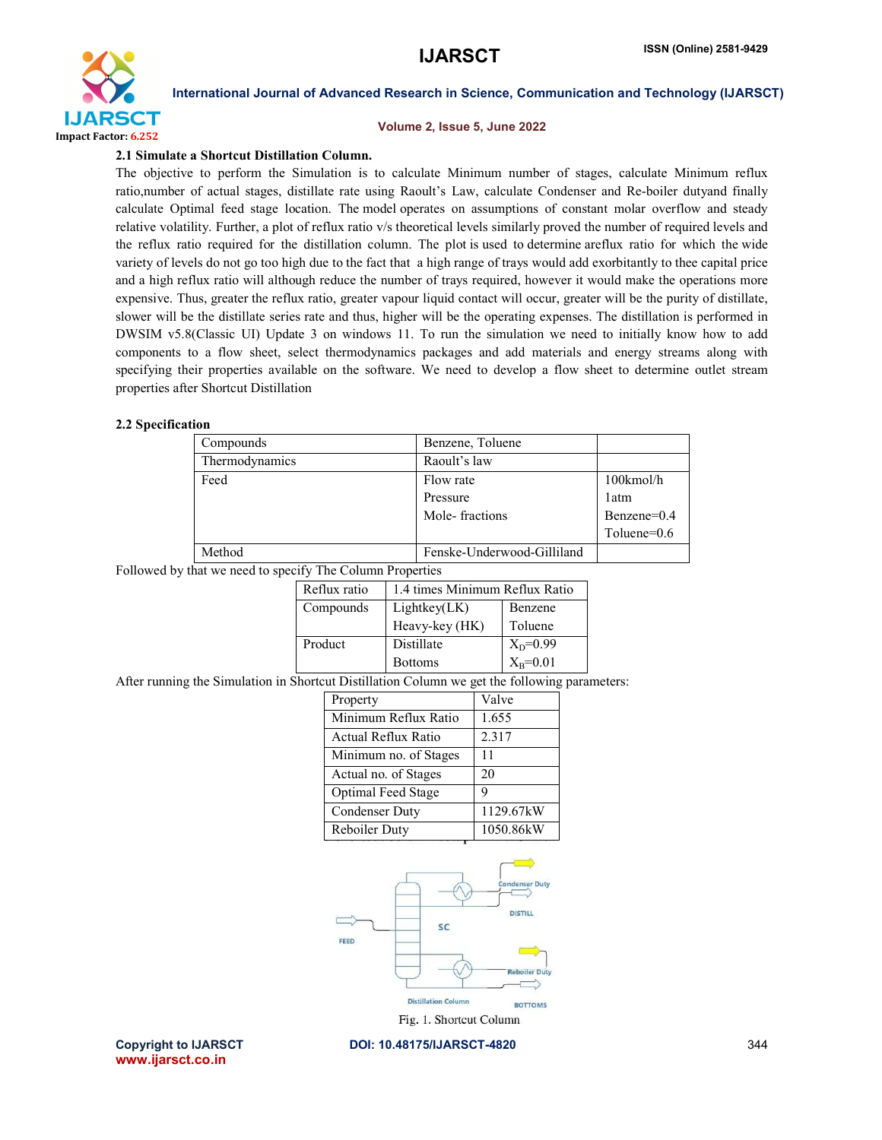

#### International Journal of Advanced Research in Science, Communication and Technology (IJARSCT)

#### Volume 2, Issue 5, June 2022

#### 2.1 Simulate a Shortcut Distillation Column.

The objective to perform the Simulation is to calculate Minimum number of stages, calculate Minimum reflux ratio,number of actual stages, distillate rate using Raoult's Law, calculate Condenser and Re-boiler dutyand finally calculate Optimal feed stage location. The model operates on assumptions of constant molar overflow and steady relative volatility. Further, a plot of reflux ratio v/s theoretical levels similarly proved the number of required levels and the reflux ratio required for the distillation column. The plot is used to determine areflux ratio for which the wide variety of levels do not go too high due to the fact that a high range of trays would add exorbitantly to thee capital price and a high reflux ratio will although reduce the number of trays required, however it would make the operations more expensive. Thus, greater the reflux ratio, greater vapour liquid contact will occur, greater will be the purity of distillate, slower will be the distillate series rate and thus, higher will be the operating expenses. The distillation is performed in DWSIM v5.8(Classic UI) Update 3 on windows 11. To run the simulation we need to initially know how to add components to a flow sheet, select thermodynamics packages and add materials and energy streams along with specifying their properties available on the software. We need to develop a flow sheet to determine outlet stream properties after Shortcut Distillation

#### 2.2 Specification

|  | Compounds                                                                                     |                            |                       |                                | Benzene, Toluene |              |                            |  |                  |
|--|-----------------------------------------------------------------------------------------------|----------------------------|-----------------------|--------------------------------|------------------|--------------|----------------------------|--|------------------|
|  | Thermodynamics                                                                                |                            |                       |                                | Raoult's law     |              |                            |  |                  |
|  | Feed                                                                                          |                            |                       |                                | Flow rate        |              |                            |  | 100kmol/h        |
|  |                                                                                               |                            |                       |                                | Pressure         |              |                            |  | 1 <sub>atm</sub> |
|  |                                                                                               |                            |                       |                                | Mole-fractions   |              |                            |  | Benzene=0.4      |
|  |                                                                                               |                            |                       |                                |                  |              |                            |  | Toluene=0.6      |
|  | Method                                                                                        |                            |                       |                                |                  |              | Fenske-Underwood-Gilliland |  |                  |
|  | Followed by that we need to specify The Column Properties                                     |                            |                       |                                |                  |              |                            |  |                  |
|  | Reflux ratio                                                                                  |                            |                       | 1.4 times Minimum Reflux Ratio |                  |              |                            |  |                  |
|  |                                                                                               |                            | Compounds             |                                | Lightkey(LK)     |              | Benzene                    |  |                  |
|  |                                                                                               |                            |                       | Heavy-key (HK)                 |                  |              | Toluene                    |  |                  |
|  |                                                                                               |                            | Product               |                                | Distillate       |              | $X_D = 0.99$               |  |                  |
|  |                                                                                               |                            | <b>Bottoms</b>        |                                |                  | $X_B = 0.01$ |                            |  |                  |
|  | After running the Simulation in Shortcut Distillation Column we get the following parameters: |                            |                       |                                |                  |              |                            |  |                  |
|  |                                                                                               |                            | Property              |                                |                  | Valve        |                            |  |                  |
|  |                                                                                               |                            | Minimum Reflux Ratio  |                                | 1.655            |              |                            |  |                  |
|  |                                                                                               | <b>Actual Reflux Ratio</b> |                       |                                |                  | 2.317        |                            |  |                  |
|  |                                                                                               |                            | Minimum no. of Stages |                                |                  | 11           |                            |  |                  |
|  |                                                                                               |                            | Actual no. of Stages  |                                |                  | 20           |                            |  |                  |
|  |                                                                                               |                            | Optimal Feed Stage    |                                |                  | 9            |                            |  |                  |
|  |                                                                                               |                            | <b>Condenser Duty</b> |                                |                  |              | 1129.67kW                  |  |                  |
|  |                                                                                               |                            | Reboiler Duty         |                                |                  | 1050.86kW    |                            |  |                  |
|  |                                                                                               |                            |                       |                                |                  |              |                            |  |                  |
|  |                                                                                               |                            |                       |                                |                  |              | <b>Condenser Duty</b>      |  |                  |
|  |                                                                                               |                            | FEED                  |                                | SC               |              | <b>DISTILL</b>             |  |                  |

**Distillation Column BOTTOMS** 

Fig. 1. Shortcut Column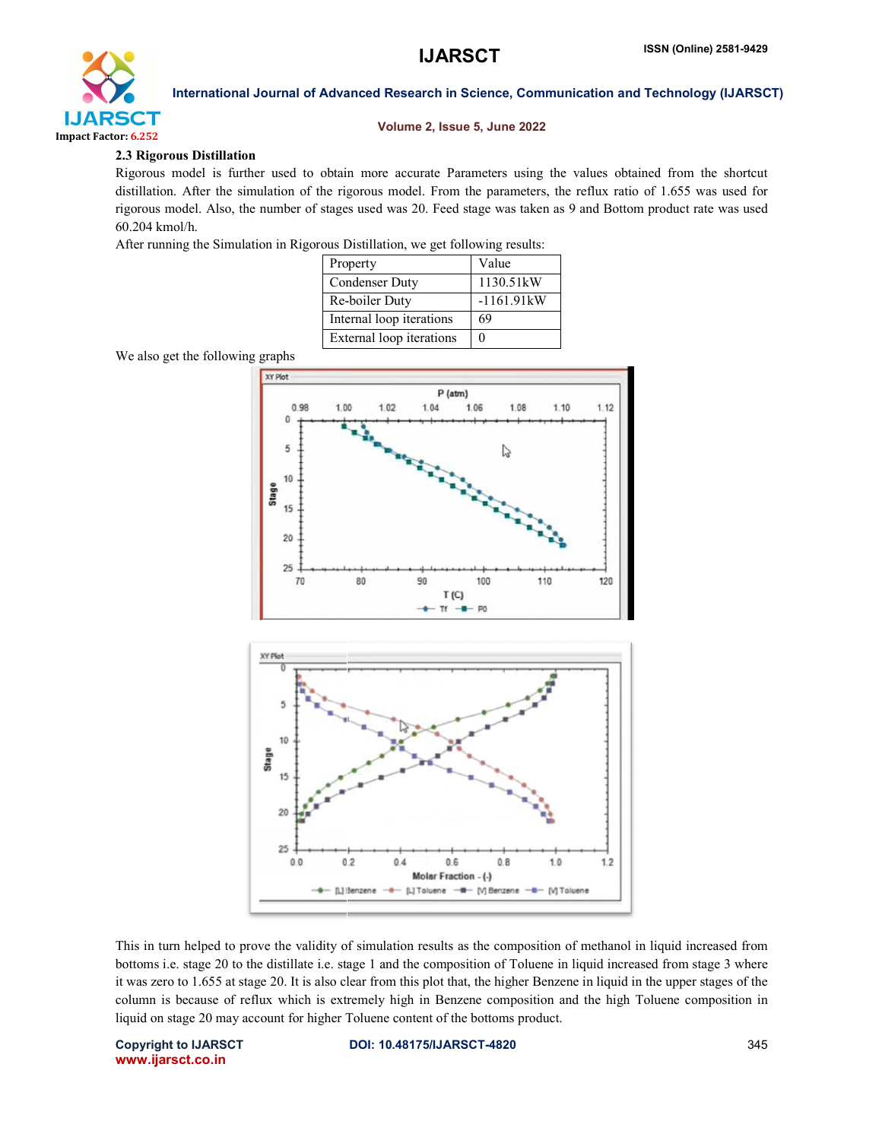## **IJARSCT**



#### International Journal of Advanced Research in Science, Communication and Technology (IJARSCT)

#### Volume 2, Issue 5, June 2022

#### 2.3 Rigorous Distillation

Rigorous model is further used to obtain more accurate Parameters using the values obtained from the shortcut distillation. After the simulation of the rigorous model. From the parameters, the reflux ratio of 1.655 was used for rigorous model. Also, the number of stages used was 20. Feed stage was taken as 9 and Bottom product rate was used 60.204 kmol/h.

After running the Simulation in Rigorous Distillation, we get following results:

| Property                 | Value        |
|--------------------------|--------------|
| <b>Condenser Duty</b>    | 1130.51kW    |
| Re-boiler Duty           | $-1161.91kW$ |
| Internal loop iterations | 69           |
| External loop iterations |              |

We also get the following graphs



This in turn helped to prove the validity of simulation results as the composition of methanol in liquid increased from bottoms i.e. stage 20 to the distillate i.e. stage 1 and the composition of Toluene in liquid increased from stage 3 where it was zero to 1.655 at stage 20. It is also clear from this plot that, the higher Benzene in liquid in the upper stages of the column is because of reflux which is extremely high in Benzene composition and the high Toluene composition in liquid on stage 20 may account for higher Toluene content of the bottoms product.

Copyright to IJARSCT www.ijarsct.co.in

DOI: 10.48175/IJARSCT-4820